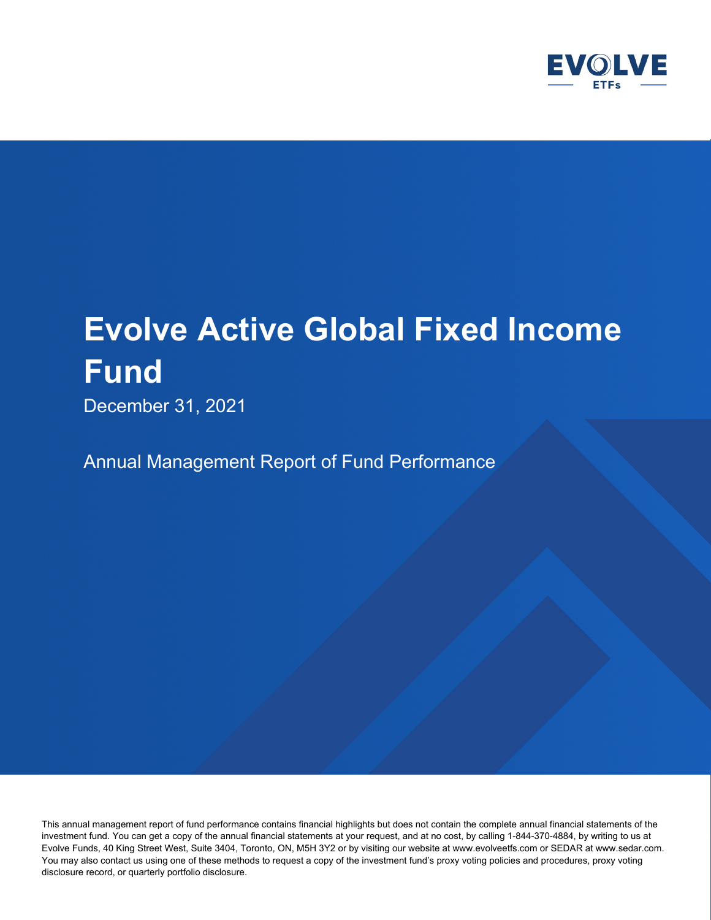

December 31, 2021

Annual Management Report of Fund Performance

This annual management report of fund performance contains financial highlights but does not contain the complete annual financial statements of the investment fund. You can get a copy of the annual financial statements at your request, and at no cost, by calling 1-844-370-4884, by writing to us at Evolve Funds, 40 King Street West, Suite 3404, Toronto, ON, M5H 3Y2 or by visiting our website at www.evolveetfs.com or SEDAR at www.sedar.com. You may also contact us using one of these methods to request a copy of the investment fund's proxy voting policies and procedures, proxy voting disclosure record, or quarterly portfolio disclosure.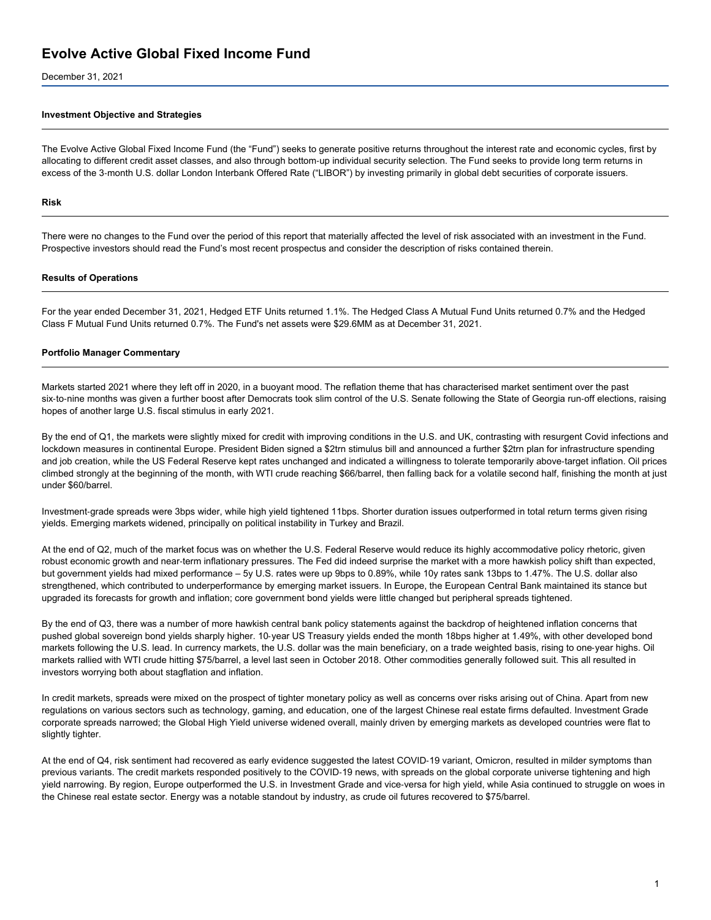December 31, 2021

#### **Investment Objective and Strategies**

The Evolve Active Global Fixed Income Fund (the "Fund") seeks to generate positive returns throughout the interest rate and economic cycles, first by allocating to different credit asset classes, and also through bottom‑up individual security selection. The Fund seeks to provide long term returns in excess of the 3-month U.S. dollar London Interbank Offered Rate ("LIBOR") by investing primarily in global debt securities of corporate issuers.

#### **Risk**

There were no changes to the Fund over the period of this report that materially affected the level of risk associated with an investment in the Fund. Prospective investors should read the Fund's most recent prospectus and consider the description of risks contained therein.

#### **Results of Operations**

For the year ended December 31, 2021, Hedged ETF Units returned 1.1%. The Hedged Class A Mutual Fund Units returned 0.7% and the Hedged Class F Mutual Fund Units returned 0.7%. The Fund's net assets were \$29.6MM as at December 31, 2021.

#### **Portfolio Manager Commentary**

Markets started 2021 where they left off in 2020, in a buoyant mood. The reflation theme that has characterised market sentiment over the past six-to-nine months was given a further boost after Democrats took slim control of the U.S. Senate following the State of Georgia run-off elections, raising hopes of another large U.S. fiscal stimulus in early 2021.

By the end of Q1, the markets were slightly mixed for credit with improving conditions in the U.S. and UK, contrasting with resurgent Covid infections and lockdown measures in continental Europe. President Biden signed a \$2trn stimulus bill and announced a further \$2trn plan for infrastructure spending and job creation, while the US Federal Reserve kept rates unchanged and indicated a willingness to tolerate temporarily above-target inflation. Oil prices climbed strongly at the beginning of the month, with WTI crude reaching \$66/barrel, then falling back for a volatile second half, finishing the month at just under \$60/barrel.

Investment‑grade spreads were 3bps wider, while high yield tightened 11bps. Shorter duration issues outperformed in total return terms given rising yields. Emerging markets widened, principally on political instability in Turkey and Brazil.

At the end of Q2, much of the market focus was on whether the U.S. Federal Reserve would reduce its highly accommodative policy rhetoric, given robust economic growth and near‑term inflationary pressures. The Fed did indeed surprise the market with a more hawkish policy shift than expected, but government yields had mixed performance – 5y U.S. rates were up 9bps to 0.89%, while 10y rates sank 13bps to 1.47%. The U.S. dollar also strengthened, which contributed to underperformance by emerging market issuers. In Europe, the European Central Bank maintained its stance but upgraded its forecasts for growth and inflation; core government bond yields were little changed but peripheral spreads tightened.

By the end of Q3, there was a number of more hawkish central bank policy statements against the backdrop of heightened inflation concerns that pushed global sovereign bond yields sharply higher. 10‑year US Treasury yields ended the month 18bps higher at 1.49%, with other developed bond markets following the U.S. lead. In currency markets, the U.S. dollar was the main beneficiary, on a trade weighted basis, rising to one‑year highs. Oil markets rallied with WTI crude hitting \$75/barrel, a level last seen in October 2018. Other commodities generally followed suit. This all resulted in investors worrying both about stagflation and inflation.

In credit markets, spreads were mixed on the prospect of tighter monetary policy as well as concerns over risks arising out of China. Apart from new regulations on various sectors such as technology, gaming, and education, one of the largest Chinese real estate firms defaulted. Investment Grade corporate spreads narrowed; the Global High Yield universe widened overall, mainly driven by emerging markets as developed countries were flat to slightly tighter.

At the end of Q4, risk sentiment had recovered as early evidence suggested the latest COVID-19 variant, Omicron, resulted in milder symptoms than previous variants. The credit markets responded positively to the COVID-19 news, with spreads on the global corporate universe tightening and high yield narrowing. By region, Europe outperformed the U.S. in Investment Grade and vice-versa for high yield, while Asia continued to struggle on woes in the Chinese real estate sector. Energy was a notable standout by industry, as crude oil futures recovered to \$75/barrel.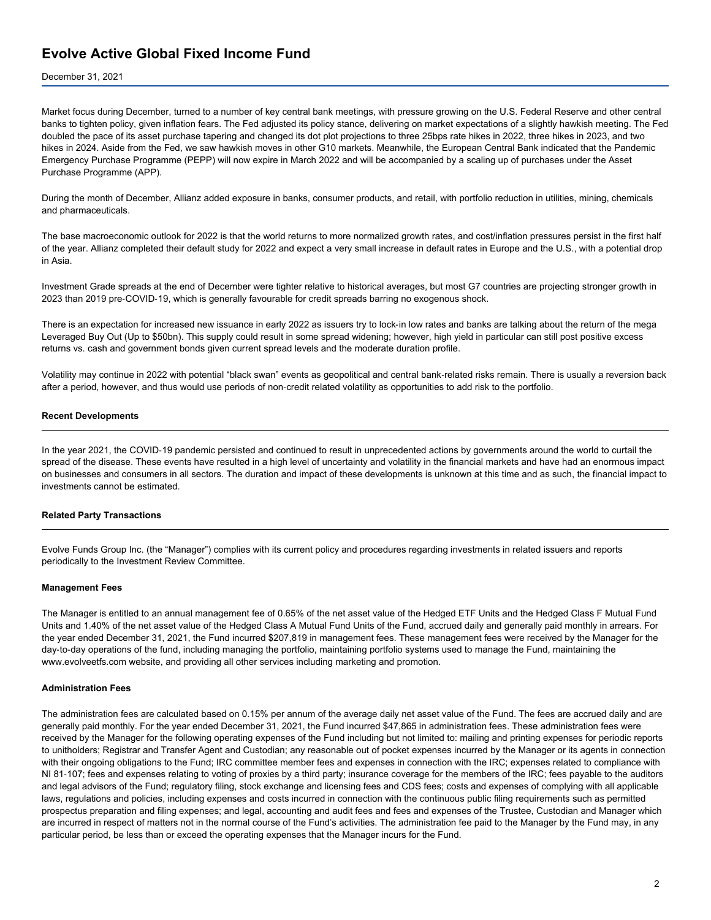#### December 31, 2021

Market focus during December, turned to a number of key central bank meetings, with pressure growing on the U.S. Federal Reserve and other central banks to tighten policy, given inflation fears. The Fed adjusted its policy stance, delivering on market expectations of a slightly hawkish meeting. The Fed doubled the pace of its asset purchase tapering and changed its dot plot projections to three 25bps rate hikes in 2022, three hikes in 2023, and two hikes in 2024. Aside from the Fed, we saw hawkish moves in other G10 markets. Meanwhile, the European Central Bank indicated that the Pandemic Emergency Purchase Programme (PEPP) will now expire in March 2022 and will be accompanied by a scaling up of purchases under the Asset Purchase Programme (APP).

During the month of December, Allianz added exposure in banks, consumer products, and retail, with portfolio reduction in utilities, mining, chemicals and pharmaceuticals.

The base macroeconomic outlook for 2022 is that the world returns to more normalized growth rates, and cost/inflation pressures persist in the first half of the year. Allianz completed their default study for 2022 and expect a very small increase in default rates in Europe and the U.S., with a potential drop in Asia.

Investment Grade spreads at the end of December were tighter relative to historical averages, but most G7 countries are projecting stronger growth in 2023 than 2019 pre‑COVID‑19, which is generally favourable for credit spreads barring no exogenous shock.

There is an expectation for increased new issuance in early 2022 as issuers try to lock-in low rates and banks are talking about the return of the mega Leveraged Buy Out (Up to \$50bn). This supply could result in some spread widening; however, high yield in particular can still post positive excess returns vs. cash and government bonds given current spread levels and the moderate duration profile.

Volatility may continue in 2022 with potential "black swan" events as geopolitical and central bank‑related risks remain. There is usually a reversion back after a period, however, and thus would use periods of non-credit related volatility as opportunities to add risk to the portfolio.

#### **Recent Developments**

In the year 2021, the COVID-19 pandemic persisted and continued to result in unprecedented actions by governments around the world to curtail the spread of the disease. These events have resulted in a high level of uncertainty and volatility in the financial markets and have had an enormous impact on businesses and consumers in all sectors. The duration and impact of these developments is unknown at this time and as such, the financial impact to investments cannot be estimated.

#### **Related Party Transactions**

Evolve Funds Group Inc. (the "Manager") complies with its current policy and procedures regarding investments in related issuers and reports periodically to the Investment Review Committee.

#### **Management Fees**

The Manager is entitled to an annual management fee of 0.65% of the net asset value of the Hedged ETF Units and the Hedged Class F Mutual Fund Units and 1.40% of the net asset value of the Hedged Class A Mutual Fund Units of the Fund, accrued daily and generally paid monthly in arrears. For the year ended December 31, 2021, the Fund incurred \$207,819 in management fees. These management fees were received by the Manager for the day-to-day operations of the fund, including managing the portfolio, maintaining portfolio systems used to manage the Fund, maintaining the www.evolveetfs.com website, and providing all other services including marketing and promotion.

#### **Administration Fees**

The administration fees are calculated based on 0.15% per annum of the average daily net asset value of the Fund. The fees are accrued daily and are generally paid monthly. For the year ended December 31, 2021, the Fund incurred \$47,865 in administration fees. These administration fees were received by the Manager for the following operating expenses of the Fund including but not limited to: mailing and printing expenses for periodic reports to unitholders; Registrar and Transfer Agent and Custodian; any reasonable out of pocket expenses incurred by the Manager or its agents in connection with their ongoing obligations to the Fund; IRC committee member fees and expenses in connection with the IRC; expenses related to compliance with NI 81‑107; fees and expenses relating to voting of proxies by a third party; insurance coverage for the members of the IRC; fees payable to the auditors and legal advisors of the Fund; regulatory filing, stock exchange and licensing fees and CDS fees; costs and expenses of complying with all applicable laws, regulations and policies, including expenses and costs incurred in connection with the continuous public filing requirements such as permitted prospectus preparation and filing expenses; and legal, accounting and audit fees and fees and expenses of the Trustee, Custodian and Manager which are incurred in respect of matters not in the normal course of the Fund's activities. The administration fee paid to the Manager by the Fund may, in any particular period, be less than or exceed the operating expenses that the Manager incurs for the Fund.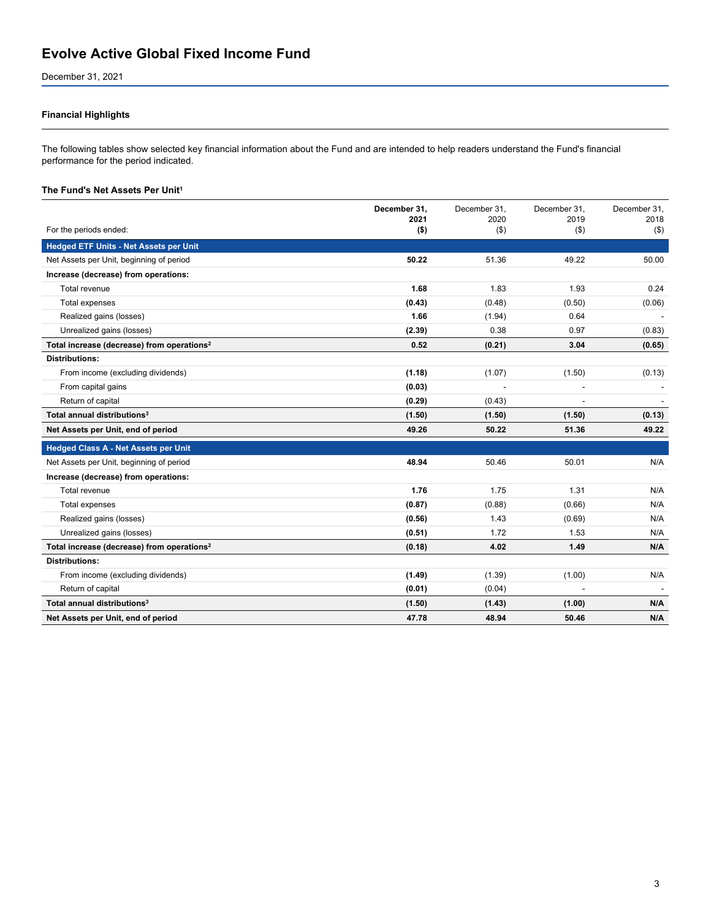December 31, 2021

#### **Financial Highlights**

The following tables show selected key financial information about the Fund and are intended to help readers understand the Fund's financial performance for the period indicated.

#### **The Fund's Net Assets Per Unit<sup>1</sup>**

|                                                        | December 31.<br>2021 | December 31,<br>2020 | December 31.<br>2019     | December 31.<br>2018 |
|--------------------------------------------------------|----------------------|----------------------|--------------------------|----------------------|
| For the periods ended:                                 | $($ \$)              | $($ \$)              | (3)                      | $($ \$)              |
| <b>Hedged ETF Units - Net Assets per Unit</b>          |                      |                      |                          |                      |
| Net Assets per Unit, beginning of period               | 50.22                | 51.36                | 49.22                    | 50.00                |
| Increase (decrease) from operations:                   |                      |                      |                          |                      |
| Total revenue                                          | 1.68                 | 1.83                 | 1.93                     | 0.24                 |
| Total expenses                                         | (0.43)               | (0.48)               | (0.50)                   | (0.06)               |
| Realized gains (losses)                                | 1.66                 | (1.94)               | 0.64                     |                      |
| Unrealized gains (losses)                              | (2.39)               | 0.38                 | 0.97                     | (0.83)               |
| Total increase (decrease) from operations <sup>2</sup> | 0.52                 | (0.21)               | 3.04                     | (0.65)               |
| <b>Distributions:</b>                                  |                      |                      |                          |                      |
| From income (excluding dividends)                      | (1.18)               | (1.07)               | (1.50)                   | (0.13)               |
| From capital gains                                     | (0.03)               |                      |                          |                      |
| Return of capital                                      | (0.29)               | (0.43)               | $\overline{\phantom{a}}$ |                      |
| Total annual distributions <sup>3</sup>                | (1.50)               | (1.50)               | (1.50)                   | (0.13)               |
| Net Assets per Unit, end of period                     | 49.26                | 50.22                | 51.36                    | 49.22                |
| <b>Hedged Class A - Net Assets per Unit</b>            |                      |                      |                          |                      |
| Net Assets per Unit, beginning of period               | 48.94                | 50.46                | 50.01                    | N/A                  |
| Increase (decrease) from operations:                   |                      |                      |                          |                      |
| Total revenue                                          | 1.76                 | 1.75                 | 1.31                     | N/A                  |
| Total expenses                                         | (0.87)               | (0.88)               | (0.66)                   | N/A                  |
| Realized gains (losses)                                | (0.56)               | 1.43                 | (0.69)                   | N/A                  |
| Unrealized gains (losses)                              | (0.51)               | 1.72                 | 1.53                     | N/A                  |
| Total increase (decrease) from operations <sup>2</sup> | (0.18)               | 4.02                 | 1.49                     | N/A                  |
| <b>Distributions:</b>                                  |                      |                      |                          |                      |
| From income (excluding dividends)                      | (1.49)               | (1.39)               | (1.00)                   | N/A                  |
| Return of capital                                      | (0.01)               | (0.04)               |                          |                      |
| Total annual distributions <sup>3</sup>                | (1.50)               | (1.43)               | (1.00)                   | N/A                  |
| Net Assets per Unit, end of period                     | 47.78                | 48.94                | 50.46                    | N/A                  |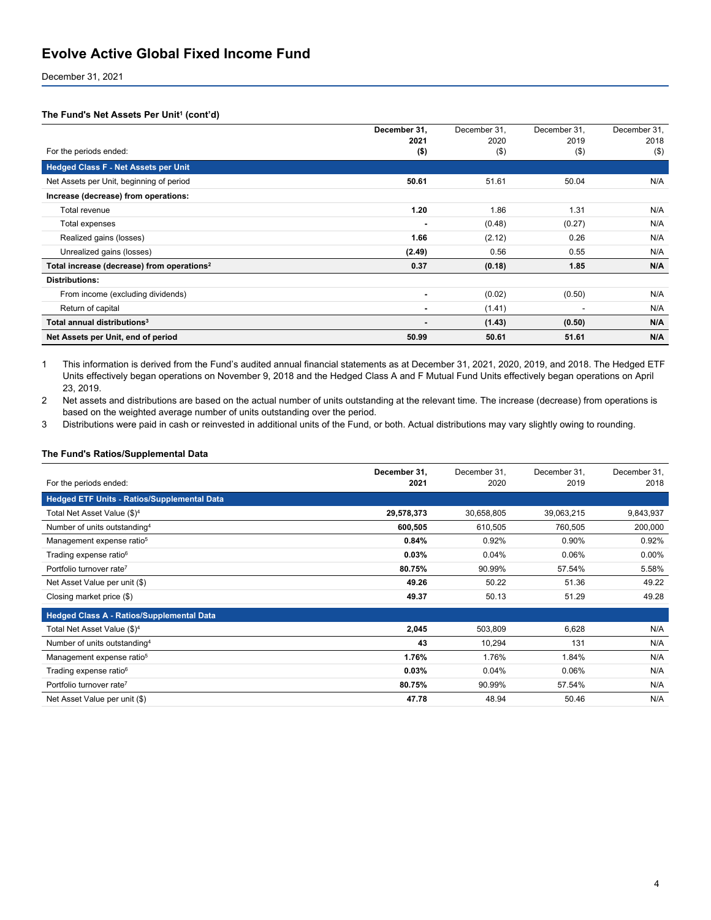December 31, 2021

#### **The Fund's Net Assets Per Unit<sup>1</sup> (cont'd)**

|                                                        | December 31.             | December 31, | December 31.             | December 31, |
|--------------------------------------------------------|--------------------------|--------------|--------------------------|--------------|
|                                                        | 2021                     | 2020         | 2019                     | 2018         |
| For the periods ended:                                 | $($ \$)                  | $($ \$)      | $($ \$)                  | $($ \$)      |
| <b>Hedged Class F - Net Assets per Unit</b>            |                          |              |                          |              |
| Net Assets per Unit, beginning of period               | 50.61                    | 51.61        | 50.04                    | N/A          |
| Increase (decrease) from operations:                   |                          |              |                          |              |
| Total revenue                                          | 1.20                     | 1.86         | 1.31                     | N/A          |
| Total expenses                                         | $\overline{\phantom{a}}$ | (0.48)       | (0.27)                   | N/A          |
| Realized gains (losses)                                | 1.66                     | (2.12)       | 0.26                     | N/A          |
| Unrealized gains (losses)                              | (2.49)                   | 0.56         | 0.55                     | N/A          |
| Total increase (decrease) from operations <sup>2</sup> | 0.37                     | (0.18)       | 1.85                     | N/A          |
| <b>Distributions:</b>                                  |                          |              |                          |              |
| From income (excluding dividends)                      | $\overline{\phantom{a}}$ | (0.02)       | (0.50)                   | N/A          |
| Return of capital                                      |                          | (1.41)       | $\overline{\phantom{a}}$ | N/A          |
| Total annual distributions <sup>3</sup>                | -                        | (1.43)       | (0.50)                   | N/A          |
| Net Assets per Unit, end of period                     | 50.99                    | 50.61        | 51.61                    | N/A          |

1 This information is derived from the Fund's audited annual financial statements as at December 31, 2021, 2020, 2019, and 2018. The Hedged ETF Units effectively began operations on November 9, 2018 and the Hedged Class A and F Mutual Fund Units effectively began operations on April 23, 2019.

2 Net assets and distributions are based on the actual number of units outstanding at the relevant time. The increase (decrease) from operations is based on the weighted average number of units outstanding over the period.

3 Distributions were paid in cash or reinvested in additional units of the Fund, or both. Actual distributions may vary slightly owing to rounding.

#### **The Fund's Ratios/Supplemental Data**

| For the periods ended:                             | December 31,<br>2021 | December 31.<br>2020 | December 31.<br>2019 | December 31.<br>2018 |
|----------------------------------------------------|----------------------|----------------------|----------------------|----------------------|
| <b>Hedged ETF Units - Ratios/Supplemental Data</b> |                      |                      |                      |                      |
| Total Net Asset Value (\$) <sup>4</sup>            | 29,578,373           | 30,658,805           | 39,063,215           | 9,843,937            |
| Number of units outstanding <sup>4</sup>           | 600,505              | 610.505              | 760,505              | 200,000              |
| Management expense ratio <sup>5</sup>              | 0.84%                | 0.92%                | 0.90%                | 0.92%                |
| Trading expense ratio <sup>6</sup>                 | 0.03%                | 0.04%                | 0.06%                | $0.00\%$             |
| Portfolio turnover rate <sup>7</sup>               | 80.75%               | 90.99%               | 57.54%               | 5.58%                |
| Net Asset Value per unit (\$)                      | 49.26                | 50.22                | 51.36                | 49.22                |
| Closing market price (\$)                          | 49.37                | 50.13                | 51.29                | 49.28                |
| <b>Hedged Class A - Ratios/Supplemental Data</b>   |                      |                      |                      |                      |
| Total Net Asset Value (\$) <sup>4</sup>            | 2,045                | 503,809              | 6,628                | N/A                  |
| Number of units outstanding <sup>4</sup>           | 43                   | 10,294               | 131                  | N/A                  |

| Management expense ratio <sup>5</sup> | 1.76%  | .76%   | .84%   | N/A |
|---------------------------------------|--------|--------|--------|-----|
| Trading expense ratio <sup>6</sup>    | 0.03%  | 0.04%  | 0.06%  | N/A |
| Portfolio turnover rate <sup>7</sup>  | 80.75% | 90.99% | 57.54% | N/A |
| Net Asset Value per unit (\$)         | 47.78  | 48.94  | 50.46  | N/A |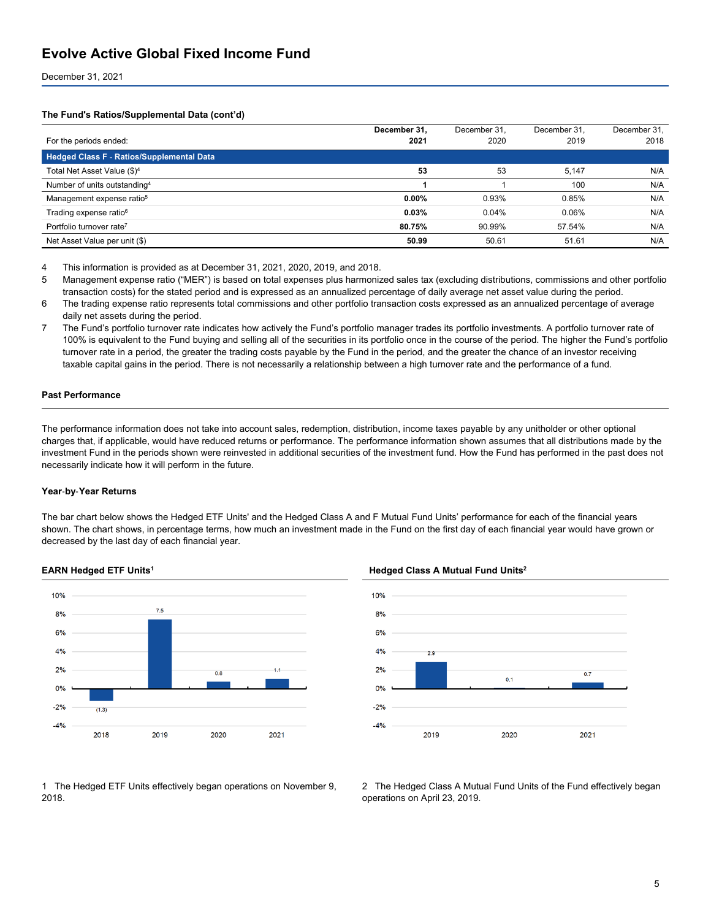December 31, 2021

#### **The Fund's Ratios/Supplemental Data (cont'd)**

|                                                  | December 31, | December 31. | December 31, | December 31, |
|--------------------------------------------------|--------------|--------------|--------------|--------------|
| For the periods ended:                           | 2021         | 2020         | 2019         | 2018         |
| <b>Hedged Class F - Ratios/Supplemental Data</b> |              |              |              |              |
| Total Net Asset Value (\$) <sup>4</sup>          | 53           | 53           | 5.147        | N/A          |
| Number of units outstanding <sup>4</sup>         |              |              | 100          | N/A          |
| Management expense ratio <sup>5</sup>            | $0.00\%$     | 0.93%        | 0.85%        | N/A          |
| Trading expense ratio <sup>6</sup>               | 0.03%        | 0.04%        | 0.06%        | N/A          |
| Portfolio turnover rate <sup>7</sup>             | 80.75%       | 90.99%       | 57.54%       | N/A          |
| Net Asset Value per unit (\$)                    | 50.99        | 50.61        | 51.61        | N/A          |

4 This information is provided as at December 31, 2021, 2020, 2019, and 2018.

5 Management expense ratio ("MER") is based on total expenses plus harmonized sales tax (excluding distributions, commissions and other portfolio transaction costs) for the stated period and is expressed as an annualized percentage of daily average net asset value during the period.

- 6 The trading expense ratio represents total commissions and other portfolio transaction costs expressed as an annualized percentage of average daily net assets during the period.
- 7 The Fund's portfolio turnover rate indicates how actively the Fund's portfolio manager trades its portfolio investments. A portfolio turnover rate of 100% is equivalent to the Fund buying and selling all of the securities in its portfolio once in the course of the period. The higher the Fund's portfolio turnover rate in a period, the greater the trading costs payable by the Fund in the period, and the greater the chance of an investor receiving taxable capital gains in the period. There is not necessarily a relationship between a high turnover rate and the performance of a fund.

#### **Past Performance**

The performance information does not take into account sales, redemption, distribution, income taxes payable by any unitholder or other optional charges that, if applicable, would have reduced returns or performance. The performance information shown assumes that all distributions made by the investment Fund in the periods shown were reinvested in additional securities of the investment fund. How the Fund has performed in the past does not necessarily indicate how it will perform in the future.

#### **Year**‑**by**‑**Year Returns**

The bar chart below shows the Hedged ETF Units' and the Hedged Class A and F Mutual Fund Units' performance for each of the financial years shown. The chart shows, in percentage terms, how much an investment made in the Fund on the first day of each financial year would have grown or decreased by the last day of each financial year.







1 The Hedged ETF Units effectively began operations on November 9, 2018.

2 The Hedged Class A Mutual Fund Units of the Fund effectively began operations on April 23, 2019.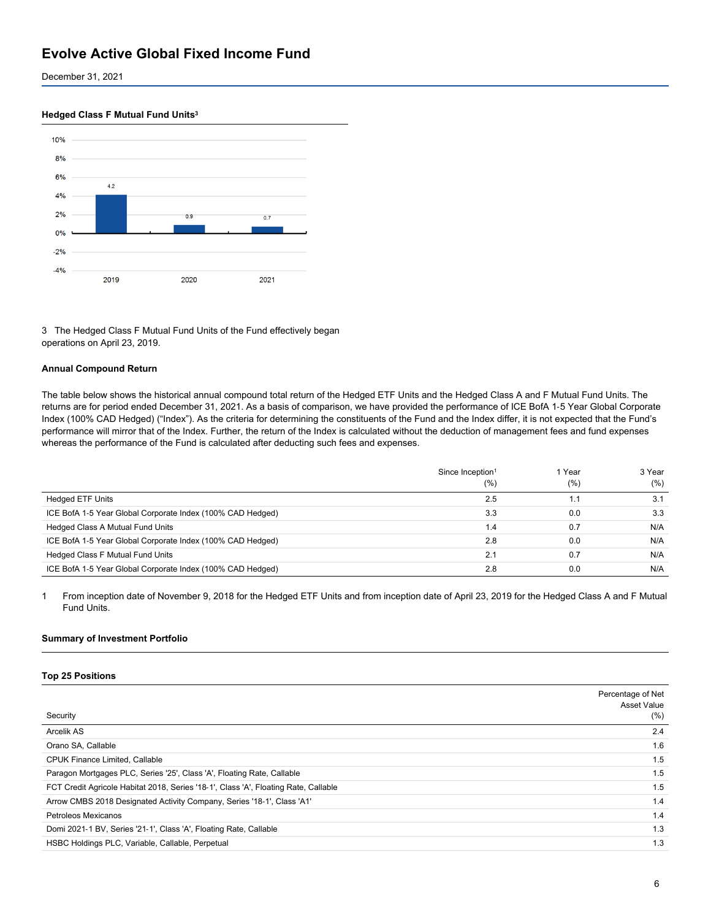December 31, 2021





3 The Hedged Class F Mutual Fund Units of the Fund effectively began operations on April 23, 2019.

#### **Annual Compound Return**

The table below shows the historical annual compound total return of the Hedged ETF Units and the Hedged Class A and F Mutual Fund Units. The returns are for period ended December 31, 2021. As a basis of comparison, we have provided the performance of ICE BofA 1‑5 Year Global Corporate Index (100% CAD Hedged) ("Index"). As the criteria for determining the constituents of the Fund and the Index differ, it is not expected that the Fund's performance will mirror that of the Index. Further, the return of the Index is calculated without the deduction of management fees and fund expenses whereas the performance of the Fund is calculated after deducting such fees and expenses.

|                                                            | Since Inception <sup>1</sup><br>(%) | Year<br>(%) | 3 Year<br>(%) |
|------------------------------------------------------------|-------------------------------------|-------------|---------------|
| <b>Hedged ETF Units</b>                                    | 2.5                                 |             | 3.1           |
| ICE BofA 1-5 Year Global Corporate Index (100% CAD Hedged) | 3.3                                 | 0.0         | 3.3           |
| Hedged Class A Mutual Fund Units                           | 1.4                                 | 0.7         | N/A           |
| ICE BofA 1-5 Year Global Corporate Index (100% CAD Hedged) | 2.8                                 | 0.0         | N/A           |
| Hedged Class F Mutual Fund Units                           | 2.1                                 | 0.7         | N/A           |
| ICE BofA 1-5 Year Global Corporate Index (100% CAD Hedged) | 2.8                                 | 0.0         | N/A           |

1 From inception date of November 9, 2018 for the Hedged ETF Units and from inception date of April 23, 2019 for the Hedged Class A and F Mutual Fund Units.

#### **Summary of Investment Portfolio**

#### **Top 25 Positions**

|                                                                                     | Percentage of Net<br>Asset Value |
|-------------------------------------------------------------------------------------|----------------------------------|
| Security                                                                            | (%)                              |
| Arcelik AS                                                                          | 2.4                              |
| Orano SA, Callable                                                                  | 1.6                              |
| <b>CPUK Finance Limited, Callable</b>                                               | 1.5                              |
| Paragon Mortgages PLC, Series '25', Class 'A', Floating Rate, Callable              | 1.5                              |
| FCT Credit Agricole Habitat 2018, Series '18-1', Class 'A', Floating Rate, Callable | 1.5                              |
| Arrow CMBS 2018 Designated Activity Company, Series '18-1', Class 'A1'              | 1.4                              |
| Petroleos Mexicanos                                                                 | 1.4                              |
| Domi 2021-1 BV, Series '21-1', Class 'A', Floating Rate, Callable                   | 1.3                              |
| HSBC Holdings PLC, Variable, Callable, Perpetual                                    | 1.3                              |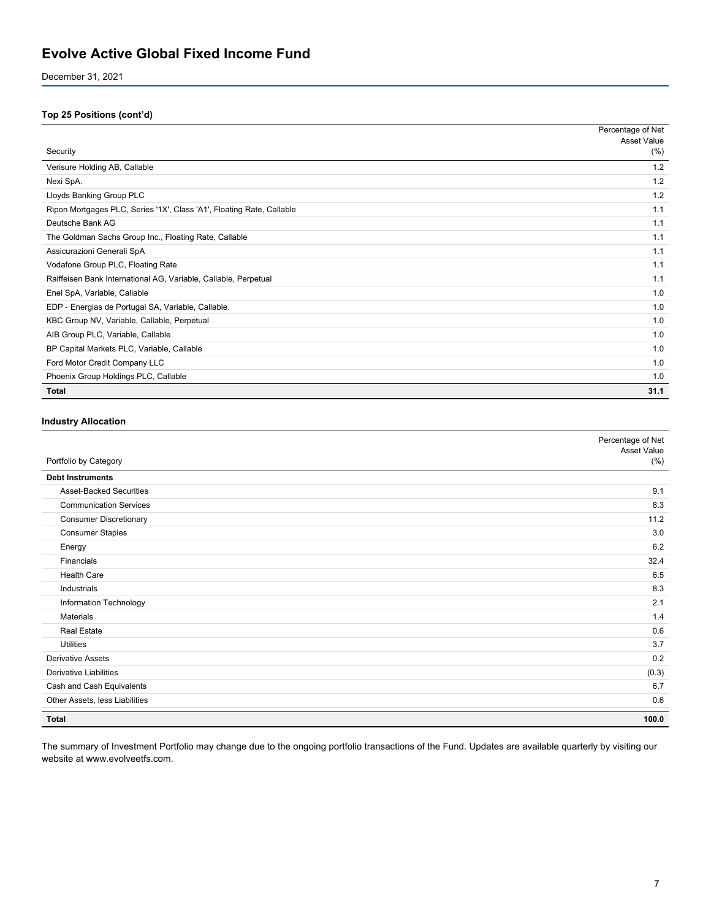December 31, 2021

#### **Top 25 Positions (cont'd)**

|                                                                       | Percentage of Net<br>Asset Value |
|-----------------------------------------------------------------------|----------------------------------|
| Security                                                              | (% )                             |
| Verisure Holding AB, Callable                                         | 1.2                              |
| Nexi SpA.                                                             | 1.2                              |
| Lloyds Banking Group PLC                                              | 1.2                              |
| Ripon Mortgages PLC, Series '1X', Class 'A1', Floating Rate, Callable | 1.1                              |
| Deutsche Bank AG                                                      | 1.1                              |
| The Goldman Sachs Group Inc., Floating Rate, Callable                 | 1.1                              |
| Assicurazioni Generali SpA                                            | 1.1                              |
| Vodafone Group PLC, Floating Rate                                     | 1.1                              |
| Raiffeisen Bank International AG, Variable, Callable, Perpetual       | 1.1                              |
| Enel SpA, Variable, Callable                                          | 1.0                              |
| EDP - Energias de Portugal SA, Variable, Callable.                    | 1.0                              |
| KBC Group NV, Variable, Callable, Perpetual                           | 1.0                              |
| AIB Group PLC, Variable, Callable                                     | 1.0                              |
| BP Capital Markets PLC, Variable, Callable                            | 1.0                              |
| Ford Motor Credit Company LLC                                         | 1.0                              |
| Phoenix Group Holdings PLC, Callable                                  | 1.0                              |
| <b>Total</b>                                                          | 31.1                             |

### **Industry Allocation**

|                                | Percentage of Net   |
|--------------------------------|---------------------|
| Portfolio by Category          | Asset Value<br>(% ) |
| <b>Debt Instruments</b>        |                     |
| <b>Asset-Backed Securities</b> | 9.1                 |
| <b>Communication Services</b>  | 8.3                 |
| <b>Consumer Discretionary</b>  | 11.2                |
| <b>Consumer Staples</b>        | 3.0                 |
| Energy                         | 6.2                 |
| Financials                     | 32.4                |
| <b>Health Care</b>             | 6.5                 |
| Industrials                    | 8.3                 |
| Information Technology         | 2.1                 |
| Materials                      | 1.4                 |
| <b>Real Estate</b>             | 0.6                 |
| <b>Utilities</b>               | 3.7                 |
| <b>Derivative Assets</b>       | 0.2                 |
| <b>Derivative Liabilities</b>  | (0.3)               |
| Cash and Cash Equivalents      | 6.7                 |
| Other Assets, less Liabilities | 0.6                 |
| <b>Total</b>                   | 100.0               |

The summary of Investment Portfolio may change due to the ongoing portfolio transactions of the Fund. Updates are available quarterly by visiting our website at www.evolveetfs.com.